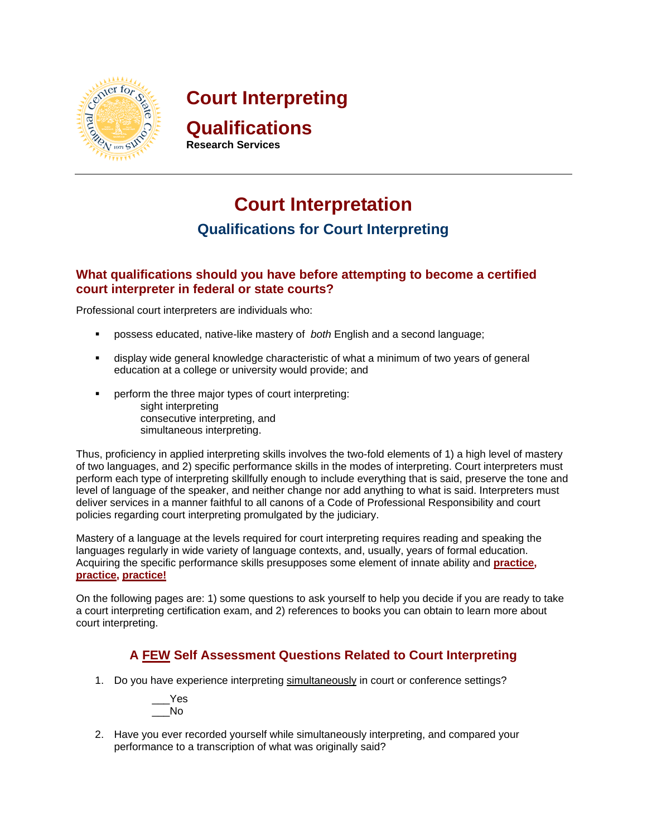

**Court Interpreting** 

## **Qualifications**

**Research Services**

# **Court Interpretation**

## **Qualifications for Court Interpreting**

#### **What qualifications should you have before attempting to become a certified court interpreter in federal or state courts?**

Professional court interpreters are individuals who:

- possess educated, native-like mastery of *both* English and a second language;
- display wide general knowledge characteristic of what a minimum of two years of general education at a college or university would provide; and
- **•** perform the three major types of court interpreting: sight interpreting consecutive interpreting, and simultaneous interpreting.

Thus, proficiency in applied interpreting skills involves the two-fold elements of 1) a high level of mastery of two languages, and 2) specific performance skills in the modes of interpreting. Court interpreters must perform each type of interpreting skillfully enough to include everything that is said, preserve the tone and level of language of the speaker, and neither change nor add anything to what is said. Interpreters must deliver services in a manner faithful to all canons of a Code of Professional Responsibility and court policies regarding court interpreting promulgated by the judiciary.

Mastery of a language at the levels required for court interpreting requires reading and speaking the languages regularly in wide variety of language contexts, and, usually, years of formal education. Acquiring the specific performance skills presupposes some element of innate ability and **practice, practice, practice!**

On the following pages are: 1) some questions to ask yourself to help you decide if you are ready to take a court interpreting certification exam, and 2) references to books you can obtain to learn more about court interpreting.

### **A FEW Self Assessment Questions Related to Court Interpreting**

1. Do you have experience interpreting simultaneously in court or conference settings?



2. Have you ever recorded yourself while simultaneously interpreting, and compared your performance to a transcription of what was originally said?